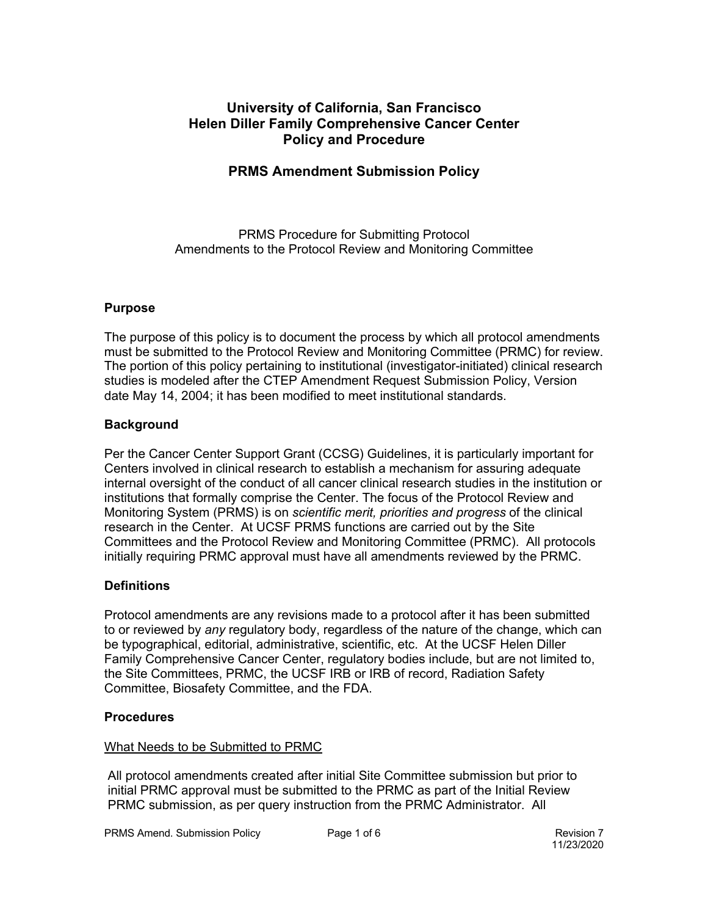## **University of California, San Francisco Helen Diller Family Comprehensive Cancer Center Policy and Procedure**

### **PRMS Amendment Submission Policy**

PRMS Procedure for Submitting Protocol Amendments to the Protocol Review and Monitoring Committee

### **Purpose**

The purpose of this policy is to document the process by which all protocol amendments must be submitted to the Protocol Review and Monitoring Committee (PRMC) for review. The portion of this policy pertaining to institutional (investigator-initiated) clinical research studies is modeled after the CTEP Amendment Request Submission Policy, Version date May 14, 2004; it has been modified to meet institutional standards.

### **Background**

Per the Cancer Center Support Grant (CCSG) Guidelines, it is particularly important for Centers involved in clinical research to establish a mechanism for assuring adequate internal oversight of the conduct of all cancer clinical research studies in the institution or institutions that formally comprise the Center. The focus of the Protocol Review and Monitoring System (PRMS) is on *scientific merit, priorities and progress* of the clinical research in the Center. At UCSF PRMS functions are carried out by the Site Committees and the Protocol Review and Monitoring Committee (PRMC). All protocols initially requiring PRMC approval must have all amendments reviewed by the PRMC.

### **Definitions**

Protocol amendments are any revisions made to a protocol after it has been submitted to or reviewed by *any* regulatory body, regardless of the nature of the change, which can be typographical, editorial, administrative, scientific, etc. At the UCSF Helen Diller Family Comprehensive Cancer Center, regulatory bodies include, but are not limited to, the Site Committees, PRMC, the UCSF IRB or IRB of record, Radiation Safety Committee, Biosafety Committee, and the FDA.

#### **Procedures**

### What Needs to be Submitted to PRMC

All protocol amendments created after initial Site Committee submission but prior to initial PRMC approval must be submitted to the PRMC as part of the Initial Review PRMC submission, as per query instruction from the PRMC Administrator. All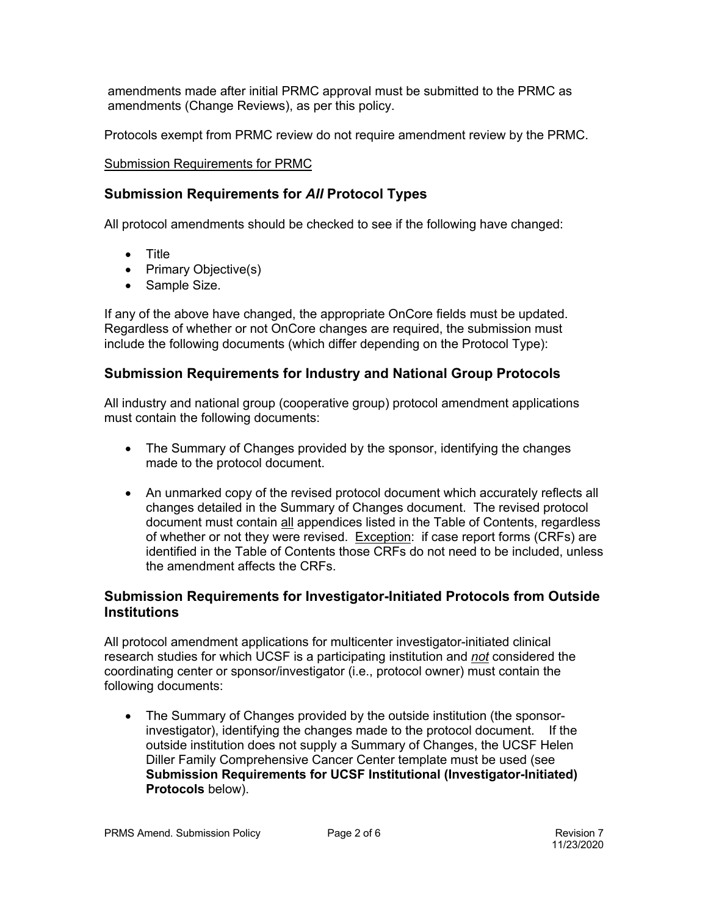amendments made after initial PRMC approval must be submitted to the PRMC as amendments (Change Reviews), as per this policy.

Protocols exempt from PRMC review do not require amendment review by the PRMC.

### Submission Requirements for PRMC

## **Submission Requirements for** *All* **Protocol Types**

All protocol amendments should be checked to see if the following have changed:

- Title
- Primary Objective(s)
- Sample Size.

If any of the above have changed, the appropriate OnCore fields must be updated. Regardless of whether or not OnCore changes are required, the submission must include the following documents (which differ depending on the Protocol Type):

# **Submission Requirements for Industry and National Group Protocols**

All industry and national group (cooperative group) protocol amendment applications must contain the following documents:

- The Summary of Changes provided by the sponsor, identifying the changes made to the protocol document.
- An unmarked copy of the revised protocol document which accurately reflects all changes detailed in the Summary of Changes document. The revised protocol document must contain all appendices listed in the Table of Contents, regardless of whether or not they were revised. Exception: if case report forms (CRFs) are identified in the Table of Contents those CRFs do not need to be included, unless the amendment affects the CRFs.

# **Submission Requirements for Investigator-Initiated Protocols from Outside Institutions**

All protocol amendment applications for multicenter investigator-initiated clinical research studies for which UCSF is a participating institution and *not* considered the coordinating center or sponsor/investigator (i.e., protocol owner) must contain the following documents:

• The Summary of Changes provided by the outside institution (the sponsorinvestigator), identifying the changes made to the protocol document. If the outside institution does not supply a Summary of Changes, the UCSF Helen Diller Family Comprehensive Cancer Center template must be used (see **Submission Requirements for UCSF Institutional (Investigator-Initiated) Protocols** below).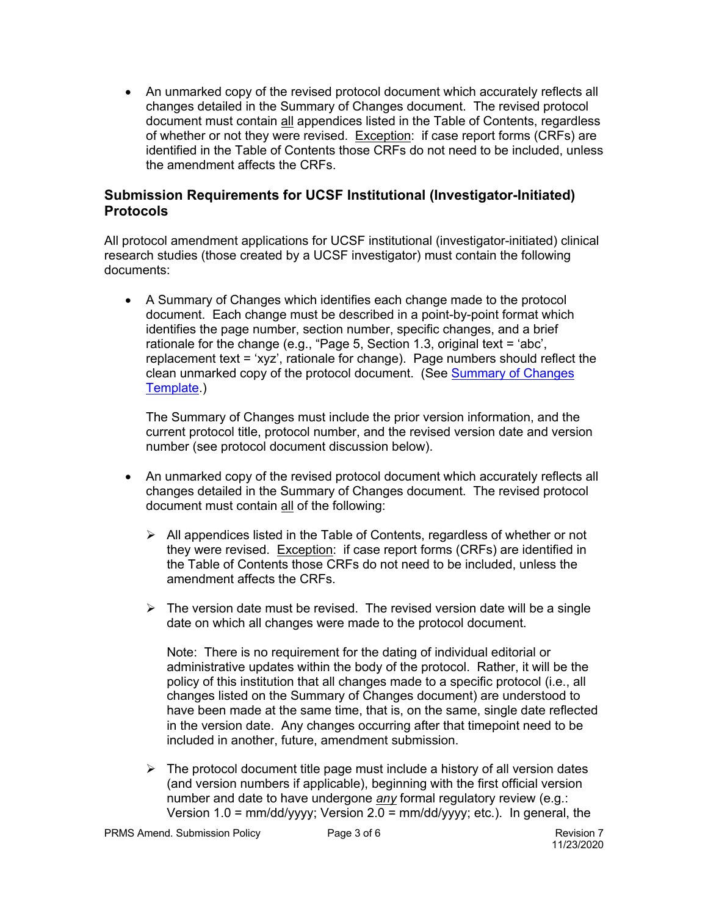• An unmarked copy of the revised protocol document which accurately reflects all changes detailed in the Summary of Changes document. The revised protocol document must contain all appendices listed in the Table of Contents, regardless of whether or not they were revised. Exception: if case report forms (CRFs) are identified in the Table of Contents those CRFs do not need to be included, unless the amendment affects the CRFs.

# **Submission Requirements for UCSF Institutional (Investigator-Initiated) Protocols**

All protocol amendment applications for UCSF institutional (investigator-initiated) clinical research studies (those created by a UCSF investigator) must contain the following documents:

• A Summary of Changes which identifies each change made to the protocol document. Each change must be described in a point-by-point format which identifies the page number, section number, specific changes, and a brief rationale for the change (e.g., "Page 5, Section 1.3, original text = 'abc', replacement text = 'xyz', rationale for change). Page numbers should reflect the clean unmarked copy of the protocol document. (See Summary of Changes Template.)

The Summary of Changes must include the prior version information, and the current protocol title, protocol number, and the revised version date and version number (see protocol document discussion below).

- An unmarked copy of the revised protocol document which accurately reflects all changes detailed in the Summary of Changes document. The revised protocol document must contain all of the following:
	- $\triangleright$  All appendices listed in the Table of Contents, regardless of whether or not they were revised. Exception: if case report forms (CRFs) are identified in the Table of Contents those CRFs do not need to be included, unless the amendment affects the CRFs.
	- $\triangleright$  The version date must be revised. The revised version date will be a single date on which all changes were made to the protocol document.

Note: There is no requirement for the dating of individual editorial or administrative updates within the body of the protocol. Rather, it will be the policy of this institution that all changes made to a specific protocol (i.e., all changes listed on the Summary of Changes document) are understood to have been made at the same time, that is, on the same, single date reflected in the version date. Any changes occurring after that timepoint need to be included in another, future, amendment submission.

 $\triangleright$  The protocol document title page must include a history of all version dates (and version numbers if applicable), beginning with the first official version number and date to have undergone *any* formal regulatory review (e.g.: Version 1.0 = mm/dd/yyyy; Version 2.0 = mm/dd/yyyy; etc.). In general, the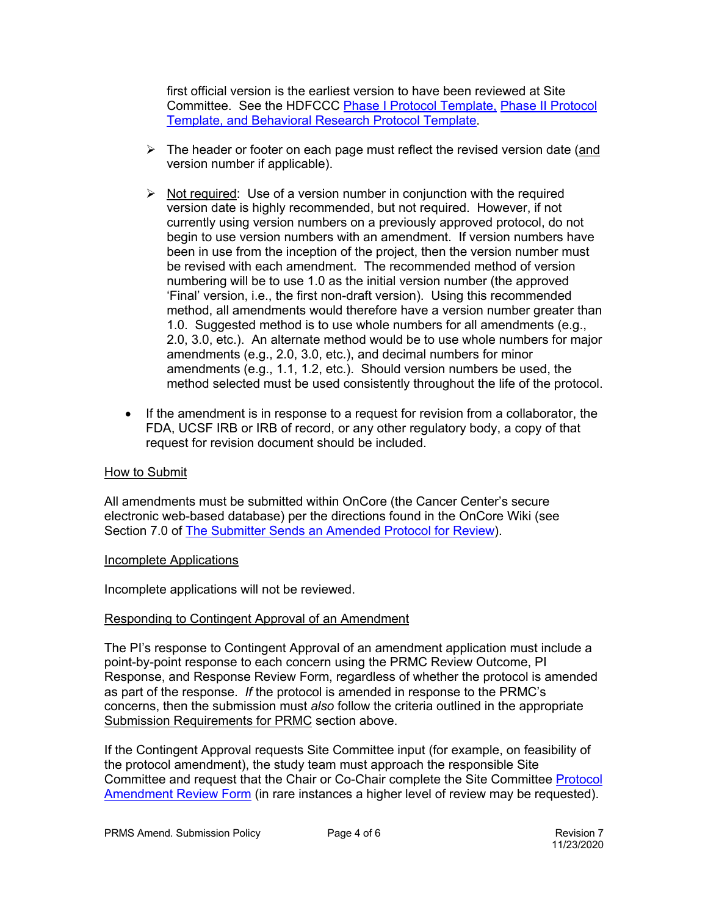first official version is the earliest version to have been reviewed at Site Committee. See the HDFCCC Phase I Protocol Template, Phase II Protocol Template, and Behavioral Research Protocol Template.

- $\triangleright$  The header or footer on each page must reflect the revised version date (and version number if applicable).
- $\triangleright$  Not required: Use of a version number in conjunction with the required version date is highly recommended, but not required. However, if not currently using version numbers on a previously approved protocol, do not begin to use version numbers with an amendment. If version numbers have been in use from the inception of the project, then the version number must be revised with each amendment. The recommended method of version numbering will be to use 1.0 as the initial version number (the approved 'Final' version, i.e., the first non-draft version). Using this recommended method, all amendments would therefore have a version number greater than 1.0. Suggested method is to use whole numbers for all amendments (e.g., 2.0, 3.0, etc.). An alternate method would be to use whole numbers for major amendments (e.g., 2.0, 3.0, etc.), and decimal numbers for minor amendments (e.g., 1.1, 1.2, etc.). Should version numbers be used, the method selected must be used consistently throughout the life of the protocol.
- If the amendment is in response to a request for revision from a collaborator, the FDA, UCSF IRB or IRB of record, or any other regulatory body, a copy of that request for revision document should be included.

#### How to Submit

All amendments must be submitted within OnCore (the Cancer Center's secure electronic web-based database) per the directions found in the OnCore Wiki (see Section 7.0 of The Submitter Sends an Amended Protocol for Review).

#### Incomplete Applications

Incomplete applications will not be reviewed.

### Responding to Contingent Approval of an Amendment

The PI's response to Contingent Approval of an amendment application must include a point-by-point response to each concern using the PRMC Review Outcome, PI Response, and Response Review Form, regardless of whether the protocol is amended as part of the response. *If* the protocol is amended in response to the PRMC's concerns, then the submission must *also* follow the criteria outlined in the appropriate Submission Requirements for PRMC section above.

If the Contingent Approval requests Site Committee input (for example, on feasibility of the protocol amendment), the study team must approach the responsible Site Committee and request that the Chair or Co-Chair complete the Site Committee Protocol Amendment Review Form (in rare instances a higher level of review may be requested).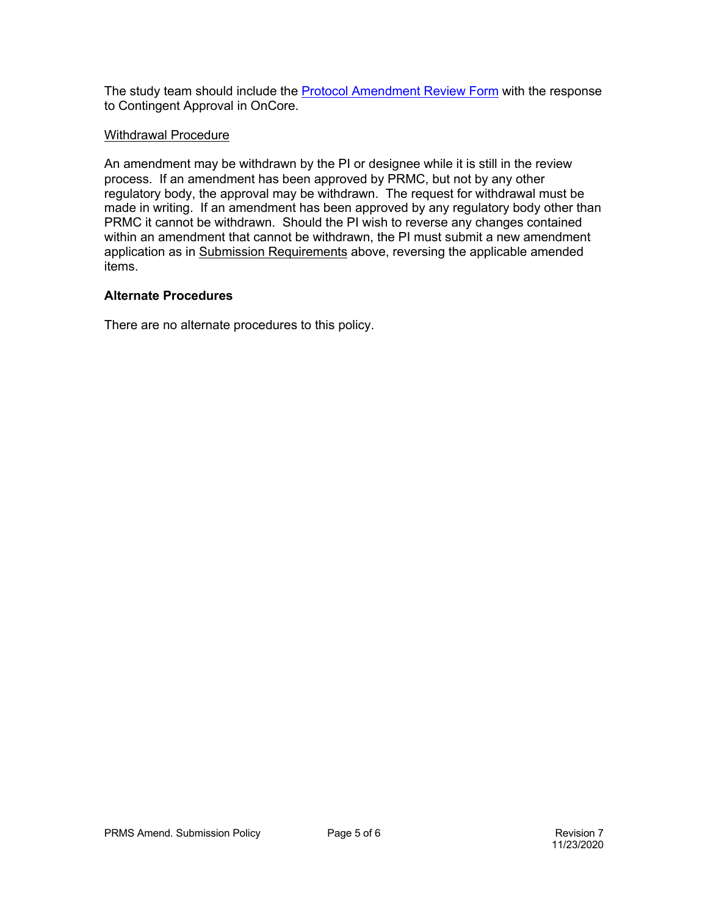The study team should include the **Protocol Amendment Review Form** with the response to Contingent Approval in OnCore.

#### Withdrawal Procedure

An amendment may be withdrawn by the PI or designee while it is still in the review process. If an amendment has been approved by PRMC, but not by any other regulatory body, the approval may be withdrawn. The request for withdrawal must be made in writing. If an amendment has been approved by any regulatory body other than PRMC it cannot be withdrawn. Should the PI wish to reverse any changes contained within an amendment that cannot be withdrawn, the PI must submit a new amendment application as in Submission Requirements above, reversing the applicable amended items.

### **Alternate Procedures**

There are no alternate procedures to this policy.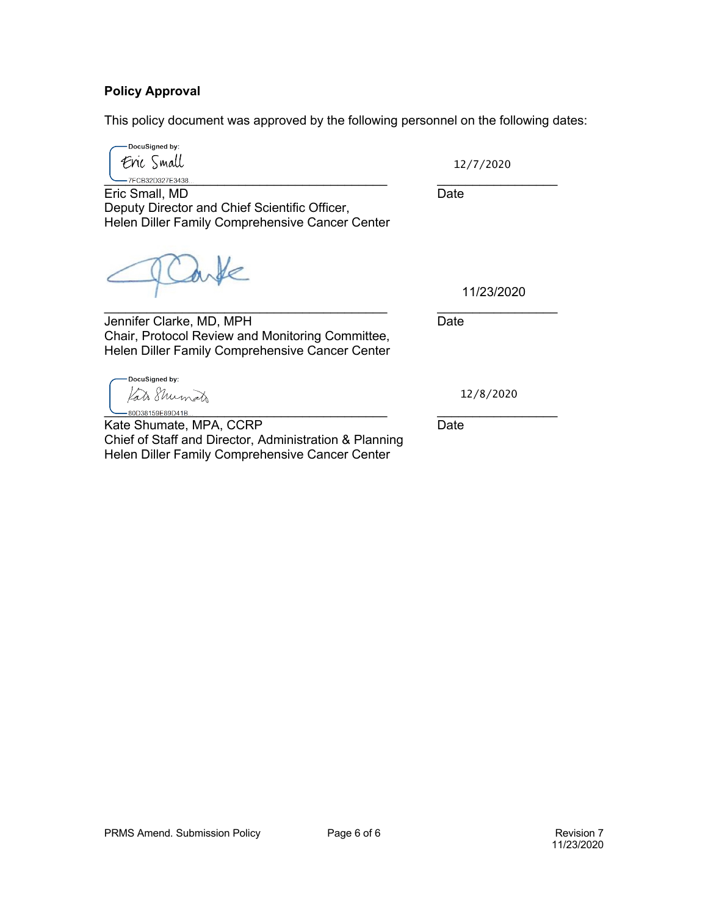### **Policy Approval**

This policy document was approved by the following personnel on the following dates:

DocuSigned by: Eric Small  $-7$ FCB32D327E3438..

12/7/2020

Eric Small, MD Date Deputy Director and Chief Scientific Officer, Helen Diller Family Comprehensive Cancer Center

inde

11/23/2020

\_\_\_\_\_\_\_\_\_\_\_\_\_\_\_\_\_\_\_\_\_\_\_\_\_\_\_\_\_\_\_\_\_\_\_\_\_\_\_\_ \_\_\_\_\_\_\_\_\_\_\_\_\_\_\_\_\_ Jennifer Clarke, MD, MPH Date Chair, Protocol Review and Monitoring Committee, Helen Diller Family Comprehensive Cancer Center

DocuSigned by: Kato Shumato \_<br>-80D38159E89D41B...

Kate Shumate, MPA, CCRP Date Chief of Staff and Director, Administration & Planning Helen Diller Family Comprehensive Cancer Center

12/8/2020

PRMS Amend. Submission Policy **Page 6 of 6** Page 6 of 6 Revision 7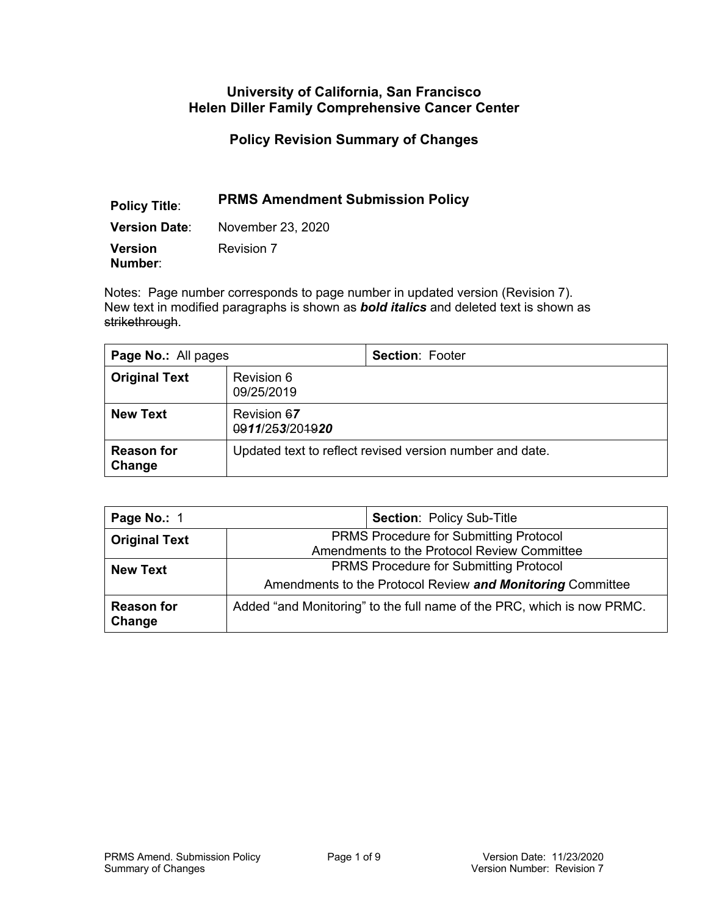### **University of California, San Francisco Helen Diller Family Comprehensive Cancer Center**

**Policy Revision Summary of Changes**

# **Policy Title**: **PRMS Amendment Submission Policy**

**Version Date**: November 23, 2020

**Version Number**: Revision 7

Notes: Page number corresponds to page number in updated version (Revision 7). New text in modified paragraphs is shown as *bold italics* and deleted text is shown as strikethrough.

| Page No.: All pages         |                                                          | <b>Section: Footer</b> |
|-----------------------------|----------------------------------------------------------|------------------------|
| <b>Original Text</b>        | Revision 6<br>09/25/2019                                 |                        |
| <b>New Text</b>             | Revision 67<br>0911/253/201920                           |                        |
| <b>Reason for</b><br>Change | Updated text to reflect revised version number and date. |                        |

| Page No.: 1                 | <b>Section: Policy Sub-Title</b>                                                             |                                                                        |
|-----------------------------|----------------------------------------------------------------------------------------------|------------------------------------------------------------------------|
| <b>Original Text</b>        | <b>PRMS Procedure for Submitting Protocol</b><br>Amendments to the Protocol Review Committee |                                                                        |
| <b>New Text</b>             | <b>PRMS Procedure for Submitting Protocol</b>                                                |                                                                        |
|                             | Amendments to the Protocol Review and Monitoring Committee                                   |                                                                        |
| <b>Reason for</b><br>Change |                                                                                              | Added "and Monitoring" to the full name of the PRC, which is now PRMC. |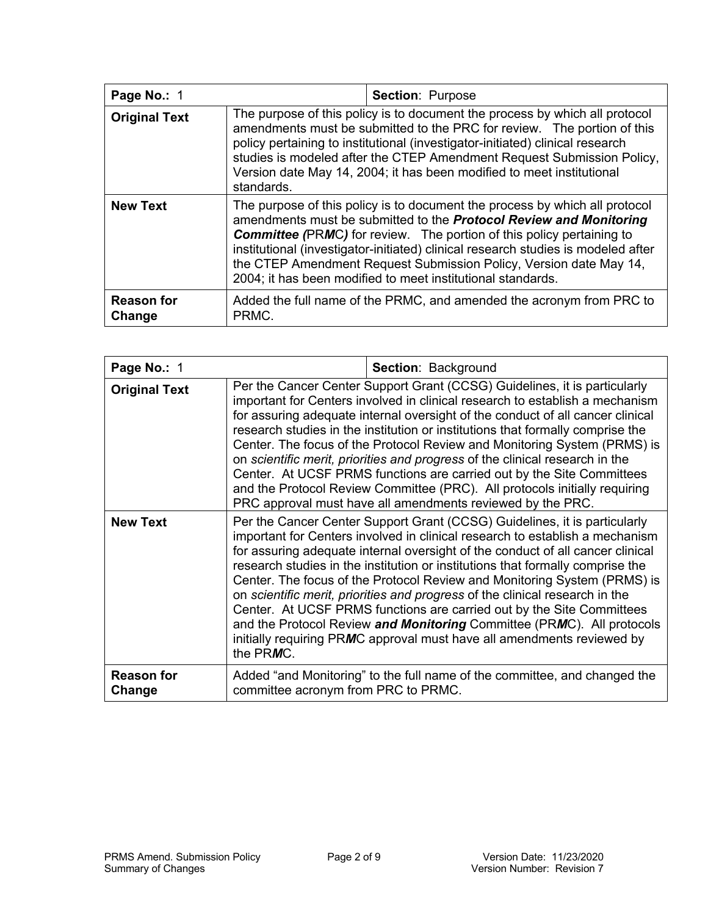| Page No.: 1                 |                                                                                                                                                                                                                                                                                                                                                                                                                                                                    | <b>Section: Purpose</b> |  |
|-----------------------------|--------------------------------------------------------------------------------------------------------------------------------------------------------------------------------------------------------------------------------------------------------------------------------------------------------------------------------------------------------------------------------------------------------------------------------------------------------------------|-------------------------|--|
| <b>Original Text</b>        | The purpose of this policy is to document the process by which all protocol<br>amendments must be submitted to the PRC for review. The portion of this<br>policy pertaining to institutional (investigator-initiated) clinical research<br>studies is modeled after the CTEP Amendment Request Submission Policy,<br>Version date May 14, 2004; it has been modified to meet institutional<br>standards.                                                           |                         |  |
| <b>New Text</b>             | The purpose of this policy is to document the process by which all protocol<br>amendments must be submitted to the <b>Protocol Review and Monitoring</b><br><b>Committee (PRMC)</b> for review. The portion of this policy pertaining to<br>institutional (investigator-initiated) clinical research studies is modeled after<br>the CTEP Amendment Request Submission Policy, Version date May 14,<br>2004; it has been modified to meet institutional standards. |                         |  |
| <b>Reason for</b><br>Change | Added the full name of the PRMC, and amended the acronym from PRC to<br>PRMC.                                                                                                                                                                                                                                                                                                                                                                                      |                         |  |

| Page No.: 1                 |                                     | Section: Background                                                                                                                                                                                                                                                                                                                                                                                                                                                                                                                                                                                                                                                                                                    |
|-----------------------------|-------------------------------------|------------------------------------------------------------------------------------------------------------------------------------------------------------------------------------------------------------------------------------------------------------------------------------------------------------------------------------------------------------------------------------------------------------------------------------------------------------------------------------------------------------------------------------------------------------------------------------------------------------------------------------------------------------------------------------------------------------------------|
| <b>Original Text</b>        |                                     | Per the Cancer Center Support Grant (CCSG) Guidelines, it is particularly<br>important for Centers involved in clinical research to establish a mechanism<br>for assuring adequate internal oversight of the conduct of all cancer clinical<br>research studies in the institution or institutions that formally comprise the<br>Center. The focus of the Protocol Review and Monitoring System (PRMS) is<br>on scientific merit, priorities and progress of the clinical research in the<br>Center. At UCSF PRMS functions are carried out by the Site Committees<br>and the Protocol Review Committee (PRC). All protocols initially requiring<br>PRC approval must have all amendments reviewed by the PRC.         |
| <b>New Text</b>             | the PRMC.                           | Per the Cancer Center Support Grant (CCSG) Guidelines, it is particularly<br>important for Centers involved in clinical research to establish a mechanism<br>for assuring adequate internal oversight of the conduct of all cancer clinical<br>research studies in the institution or institutions that formally comprise the<br>Center. The focus of the Protocol Review and Monitoring System (PRMS) is<br>on scientific merit, priorities and progress of the clinical research in the<br>Center. At UCSF PRMS functions are carried out by the Site Committees<br>and the Protocol Review and Monitoring Committee (PRMC). All protocols<br>initially requiring PRMC approval must have all amendments reviewed by |
| <b>Reason for</b><br>Change | committee acronym from PRC to PRMC. | Added "and Monitoring" to the full name of the committee, and changed the                                                                                                                                                                                                                                                                                                                                                                                                                                                                                                                                                                                                                                              |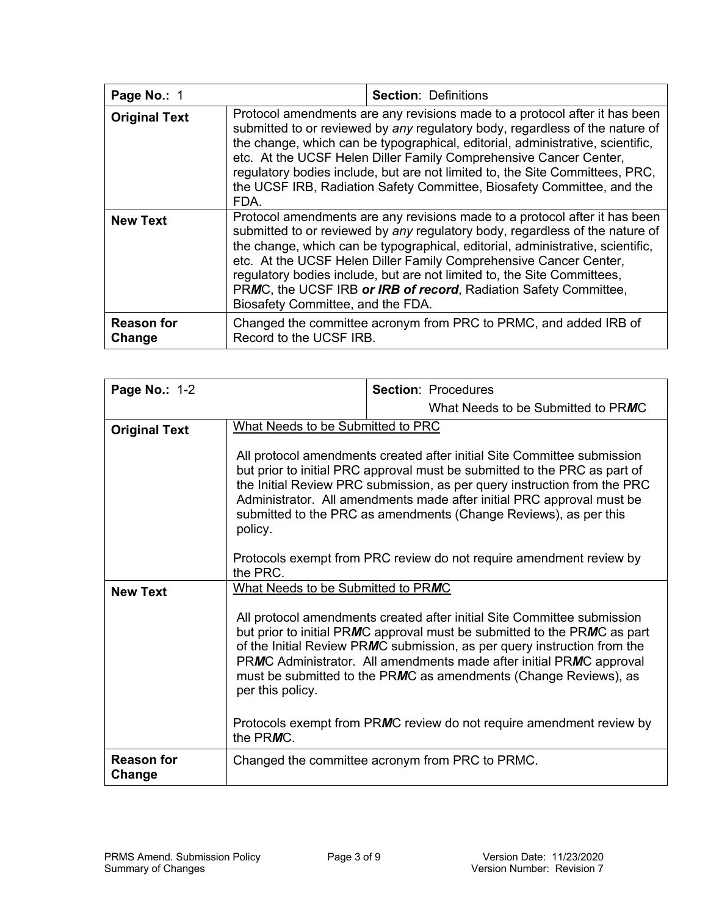| Page No.: 1                 | <b>Section: Definitions</b>                                                                                                                                                                                                                                                                                                                                                                                                                                                                           |                                                                  |
|-----------------------------|-------------------------------------------------------------------------------------------------------------------------------------------------------------------------------------------------------------------------------------------------------------------------------------------------------------------------------------------------------------------------------------------------------------------------------------------------------------------------------------------------------|------------------------------------------------------------------|
| <b>Original Text</b>        | Protocol amendments are any revisions made to a protocol after it has been<br>submitted to or reviewed by any regulatory body, regardless of the nature of<br>the change, which can be typographical, editorial, administrative, scientific,<br>etc. At the UCSF Helen Diller Family Comprehensive Cancer Center,<br>regulatory bodies include, but are not limited to, the Site Committees, PRC,<br>the UCSF IRB, Radiation Safety Committee, Biosafety Committee, and the<br>FDA.                   |                                                                  |
| <b>New Text</b>             | Protocol amendments are any revisions made to a protocol after it has been<br>submitted to or reviewed by any regulatory body, regardless of the nature of<br>the change, which can be typographical, editorial, administrative, scientific,<br>etc. At the UCSF Helen Diller Family Comprehensive Cancer Center,<br>regulatory bodies include, but are not limited to, the Site Committees,<br>PRMC, the UCSF IRB or IRB of record, Radiation Safety Committee,<br>Biosafety Committee, and the FDA. |                                                                  |
| <b>Reason for</b><br>Change | Record to the UCSF IRB.                                                                                                                                                                                                                                                                                                                                                                                                                                                                               | Changed the committee acronym from PRC to PRMC, and added IRB of |

| <b>Page No.: 1-2</b>        |                                                                                                                                                                                                                                                                                                                                                                                                                                                                             |  | <b>Section: Procedures</b>                                                                                                                                                                                                                                                                                                                                                 |
|-----------------------------|-----------------------------------------------------------------------------------------------------------------------------------------------------------------------------------------------------------------------------------------------------------------------------------------------------------------------------------------------------------------------------------------------------------------------------------------------------------------------------|--|----------------------------------------------------------------------------------------------------------------------------------------------------------------------------------------------------------------------------------------------------------------------------------------------------------------------------------------------------------------------------|
|                             |                                                                                                                                                                                                                                                                                                                                                                                                                                                                             |  | What Needs to be Submitted to PRMC                                                                                                                                                                                                                                                                                                                                         |
| <b>Original Text</b>        | What Needs to be Submitted to PRC                                                                                                                                                                                                                                                                                                                                                                                                                                           |  |                                                                                                                                                                                                                                                                                                                                                                            |
|                             | All protocol amendments created after initial Site Committee submission<br>but prior to initial PRC approval must be submitted to the PRC as part of<br>the Initial Review PRC submission, as per query instruction from the PRC<br>Administrator. All amendments made after initial PRC approval must be<br>submitted to the PRC as amendments (Change Reviews), as per this<br>policy.<br>Protocols exempt from PRC review do not require amendment review by<br>the PRC. |  |                                                                                                                                                                                                                                                                                                                                                                            |
|                             |                                                                                                                                                                                                                                                                                                                                                                                                                                                                             |  |                                                                                                                                                                                                                                                                                                                                                                            |
| <b>New Text</b>             | What Needs to be Submitted to PRMC                                                                                                                                                                                                                                                                                                                                                                                                                                          |  |                                                                                                                                                                                                                                                                                                                                                                            |
|                             | per this policy.                                                                                                                                                                                                                                                                                                                                                                                                                                                            |  | All protocol amendments created after initial Site Committee submission<br>but prior to initial PRMC approval must be submitted to the PRMC as part<br>of the Initial Review PRMC submission, as per query instruction from the<br>PRMC Administrator. All amendments made after initial PRMC approval<br>must be submitted to the PRMC as amendments (Change Reviews), as |
|                             | the PRMC.                                                                                                                                                                                                                                                                                                                                                                                                                                                                   |  | Protocols exempt from PRMC review do not require amendment review by                                                                                                                                                                                                                                                                                                       |
| <b>Reason for</b><br>Change | Changed the committee acronym from PRC to PRMC.                                                                                                                                                                                                                                                                                                                                                                                                                             |  |                                                                                                                                                                                                                                                                                                                                                                            |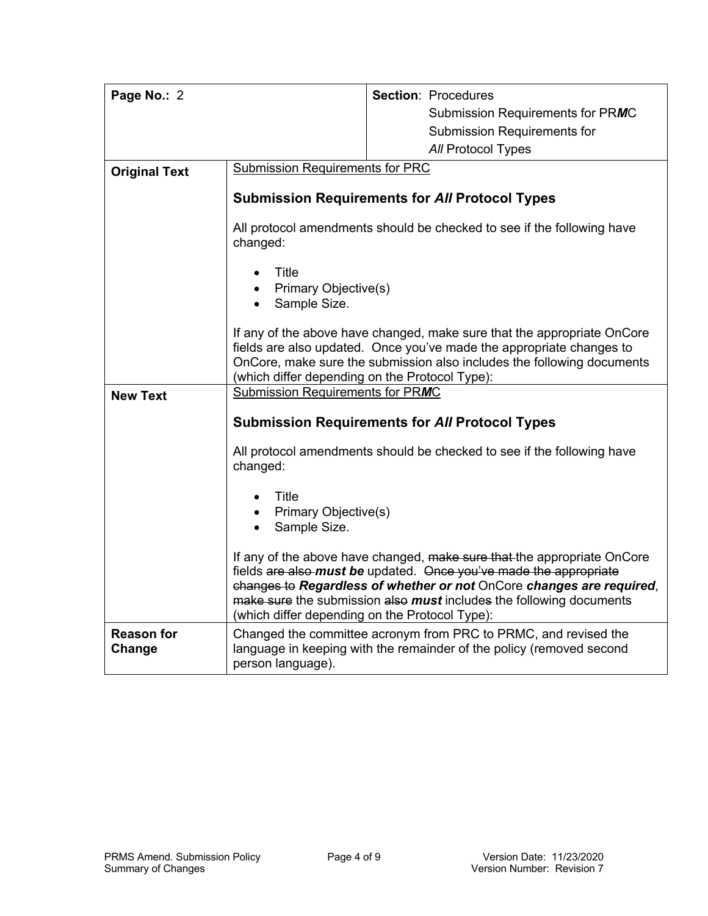| Page No.: 2                 |                                                                                                                                                                                                                                                                             | <b>Section: Procedures</b>                                                                                                                                                                                                                                                                  |  |
|-----------------------------|-----------------------------------------------------------------------------------------------------------------------------------------------------------------------------------------------------------------------------------------------------------------------------|---------------------------------------------------------------------------------------------------------------------------------------------------------------------------------------------------------------------------------------------------------------------------------------------|--|
|                             |                                                                                                                                                                                                                                                                             | Submission Requirements for PRMC                                                                                                                                                                                                                                                            |  |
|                             |                                                                                                                                                                                                                                                                             | <b>Submission Requirements for</b>                                                                                                                                                                                                                                                          |  |
|                             |                                                                                                                                                                                                                                                                             | All Protocol Types                                                                                                                                                                                                                                                                          |  |
| <b>Original Text</b>        | <b>Submission Requirements for PRC</b>                                                                                                                                                                                                                                      |                                                                                                                                                                                                                                                                                             |  |
|                             |                                                                                                                                                                                                                                                                             |                                                                                                                                                                                                                                                                                             |  |
|                             |                                                                                                                                                                                                                                                                             | <b>Submission Requirements for All Protocol Types</b>                                                                                                                                                                                                                                       |  |
|                             | All protocol amendments should be checked to see if the following have<br>changed:                                                                                                                                                                                          |                                                                                                                                                                                                                                                                                             |  |
|                             | Title<br>Primary Objective(s)                                                                                                                                                                                                                                               |                                                                                                                                                                                                                                                                                             |  |
|                             | Sample Size.<br>$\bullet$                                                                                                                                                                                                                                                   |                                                                                                                                                                                                                                                                                             |  |
|                             | If any of the above have changed, make sure that the appropriate OnCore<br>fields are also updated. Once you've made the appropriate changes to<br>OnCore, make sure the submission also includes the following documents<br>(which differ depending on the Protocol Type): |                                                                                                                                                                                                                                                                                             |  |
| <b>New Text</b>             | Submission Requirements for PRMC                                                                                                                                                                                                                                            |                                                                                                                                                                                                                                                                                             |  |
|                             | <b>Submission Requirements for All Protocol Types</b>                                                                                                                                                                                                                       |                                                                                                                                                                                                                                                                                             |  |
|                             | changed:                                                                                                                                                                                                                                                                    | All protocol amendments should be checked to see if the following have                                                                                                                                                                                                                      |  |
|                             | Title                                                                                                                                                                                                                                                                       |                                                                                                                                                                                                                                                                                             |  |
|                             | Primary Objective(s)<br>$\bullet$                                                                                                                                                                                                                                           |                                                                                                                                                                                                                                                                                             |  |
|                             | Sample Size.<br>$\bullet$                                                                                                                                                                                                                                                   |                                                                                                                                                                                                                                                                                             |  |
|                             | (which differ depending on the Protocol Type):                                                                                                                                                                                                                              | If any of the above have changed, make sure that the appropriate OnCore<br>fields are also-must be updated. Once you've made the appropriate<br>changes to Regardless of whether or not OnCore changes are required,<br>make sure the submission also must includes the following documents |  |
| <b>Reason for</b><br>Change | person language).                                                                                                                                                                                                                                                           | Changed the committee acronym from PRC to PRMC, and revised the<br>language in keeping with the remainder of the policy (removed second                                                                                                                                                     |  |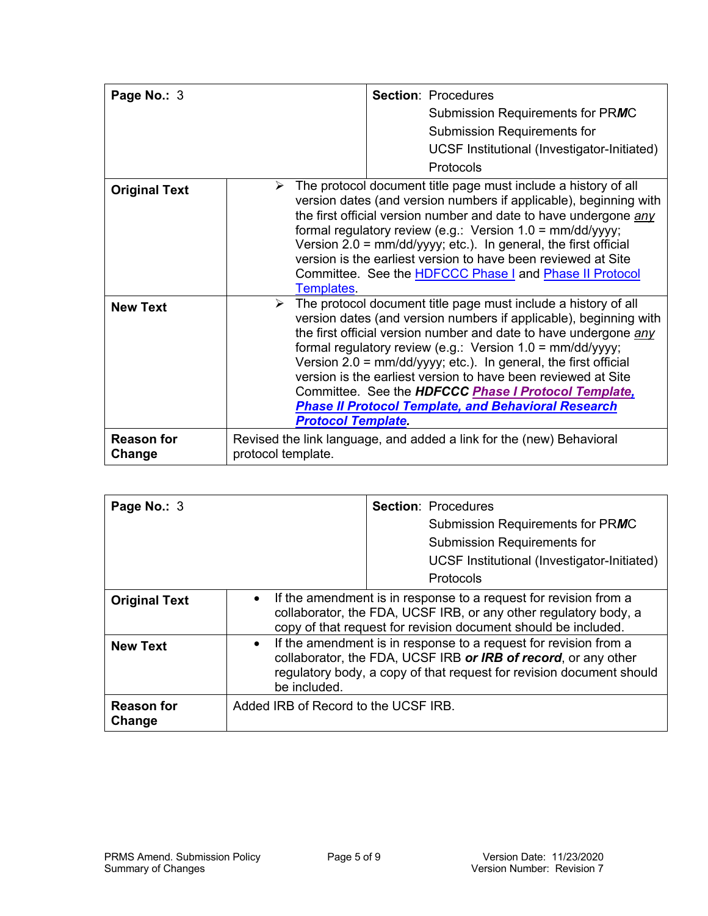| Page No.: 3                 | <b>Section: Procedures</b><br>Submission Requirements for PRMC<br><b>Submission Requirements for</b>                                                                                                                                                                                                                                                                                                                                                                                                                                                                                                 |
|-----------------------------|------------------------------------------------------------------------------------------------------------------------------------------------------------------------------------------------------------------------------------------------------------------------------------------------------------------------------------------------------------------------------------------------------------------------------------------------------------------------------------------------------------------------------------------------------------------------------------------------------|
|                             | UCSF Institutional (Investigator-Initiated)<br>Protocols                                                                                                                                                                                                                                                                                                                                                                                                                                                                                                                                             |
| <b>Original Text</b>        | The protocol document title page must include a history of all<br>➤<br>version dates (and version numbers if applicable), beginning with<br>the first official version number and date to have undergone any<br>formal regulatory review (e.g.: Version $1.0 = \frac{mm}{dd/yyy}$ ;<br>Version 2.0 = mm/dd/yyyy; etc.). In general, the first official<br>version is the earliest version to have been reviewed at Site<br>Committee. See the <b>HDFCCC Phase I and Phase II Protocol</b><br><b>Templates</b>                                                                                        |
| <b>New Text</b>             | $\triangleright$ The protocol document title page must include a history of all<br>version dates (and version numbers if applicable), beginning with<br>the first official version number and date to have undergone any<br>formal regulatory review (e.g.: Version $1.0 = \frac{mm}{dd/yyy}$ ;<br>Version $2.0 = \frac{mm}{dd}{\gamma}$ , etc.). In general, the first official<br>version is the earliest version to have been reviewed at Site<br>Committee. See the HDFCCC Phase I Protocol Template,<br><b>Phase II Protocol Template, and Behavioral Research</b><br><b>Protocol Template.</b> |
| <b>Reason for</b><br>Change | Revised the link language, and added a link for the (new) Behavioral<br>protocol template.                                                                                                                                                                                                                                                                                                                                                                                                                                                                                                           |

| Page No.: 3                 |                                      | <b>Section: Procedures</b><br>Submission Requirements for PRMC<br><b>Submission Requirements for</b><br>UCSF Institutional (Investigator-Initiated)<br>Protocols                                           |
|-----------------------------|--------------------------------------|------------------------------------------------------------------------------------------------------------------------------------------------------------------------------------------------------------|
| <b>Original Text</b>        | $\bullet$                            | If the amendment is in response to a request for revision from a<br>collaborator, the FDA, UCSF IRB, or any other regulatory body, a<br>copy of that request for revision document should be included.     |
| <b>New Text</b>             | $\bullet$<br>be included.            | If the amendment is in response to a request for revision from a<br>collaborator, the FDA, UCSF IRB or IRB of record, or any other<br>regulatory body, a copy of that request for revision document should |
| <b>Reason for</b><br>Change | Added IRB of Record to the UCSF IRB. |                                                                                                                                                                                                            |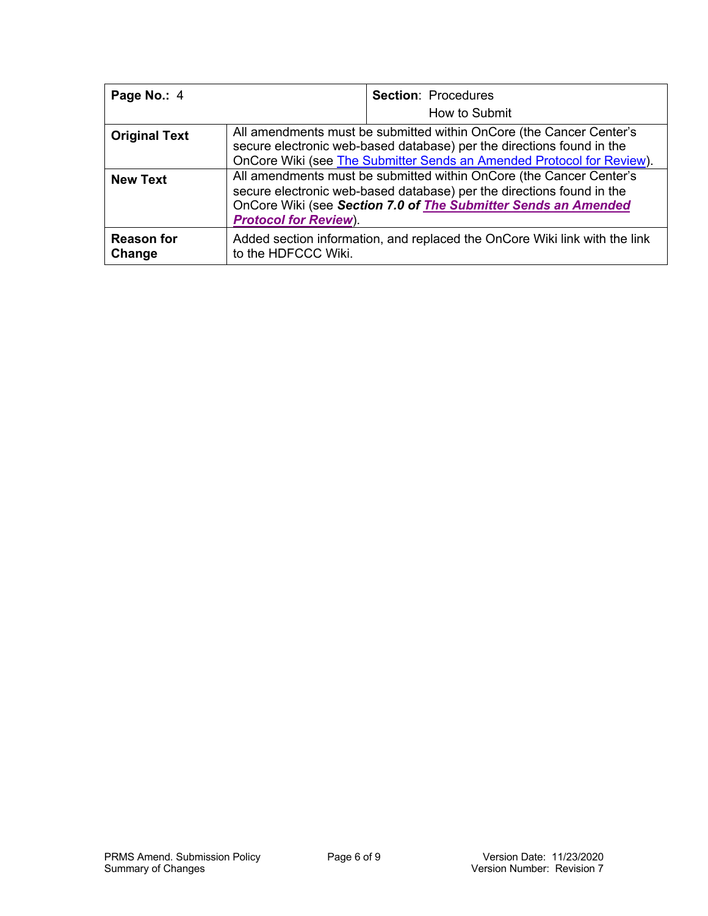| Page No.: 4                 |                                                                                                                                                                                                                                                | <b>Section: Procedures</b><br>How to Submit |
|-----------------------------|------------------------------------------------------------------------------------------------------------------------------------------------------------------------------------------------------------------------------------------------|---------------------------------------------|
| <b>Original Text</b>        | All amendments must be submitted within OnCore (the Cancer Center's<br>secure electronic web-based database) per the directions found in the<br>OnCore Wiki (see The Submitter Sends an Amended Protocol for Review).                          |                                             |
| <b>New Text</b>             | All amendments must be submitted within OnCore (the Cancer Center's<br>secure electronic web-based database) per the directions found in the<br>OnCore Wiki (see Section 7.0 of The Submitter Sends an Amended<br><b>Protocol for Review).</b> |                                             |
| <b>Reason for</b><br>Change | Added section information, and replaced the OnCore Wiki link with the link<br>to the HDFCCC Wiki.                                                                                                                                              |                                             |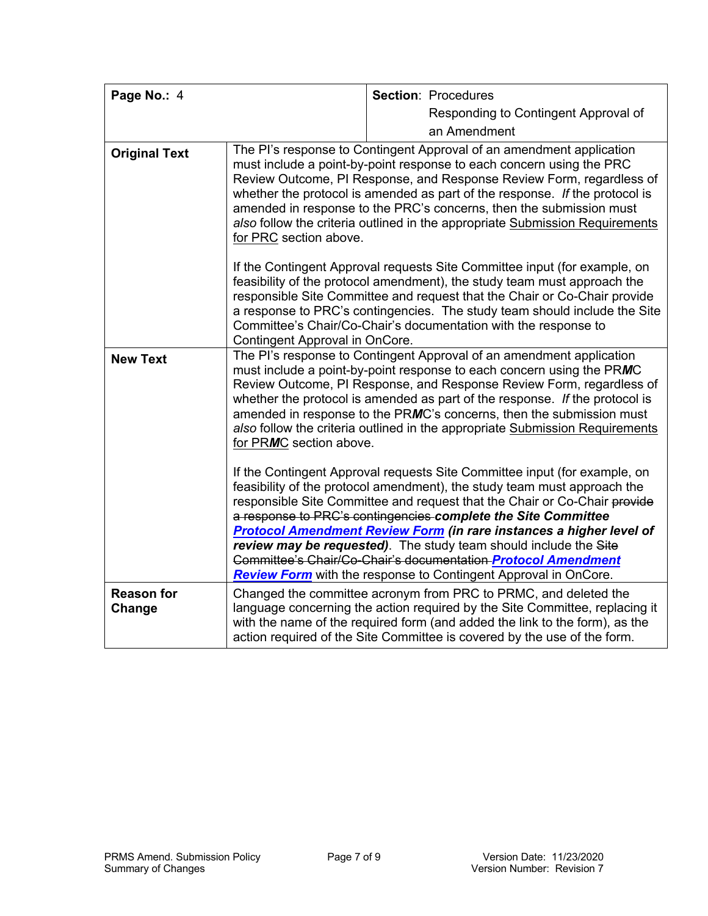| Page No.: 4                 |                                                                                                                                                                                                                                                                                                                                                                                                                                                                                                                                                                                                                                                                                                                                                                                                                                                                                                                                                                                                                                                     |  | <b>Section: Procedures</b>                                                                                                                                                                                                                                                                                                                                                          |
|-----------------------------|-----------------------------------------------------------------------------------------------------------------------------------------------------------------------------------------------------------------------------------------------------------------------------------------------------------------------------------------------------------------------------------------------------------------------------------------------------------------------------------------------------------------------------------------------------------------------------------------------------------------------------------------------------------------------------------------------------------------------------------------------------------------------------------------------------------------------------------------------------------------------------------------------------------------------------------------------------------------------------------------------------------------------------------------------------|--|-------------------------------------------------------------------------------------------------------------------------------------------------------------------------------------------------------------------------------------------------------------------------------------------------------------------------------------------------------------------------------------|
|                             |                                                                                                                                                                                                                                                                                                                                                                                                                                                                                                                                                                                                                                                                                                                                                                                                                                                                                                                                                                                                                                                     |  | Responding to Contingent Approval of                                                                                                                                                                                                                                                                                                                                                |
|                             |                                                                                                                                                                                                                                                                                                                                                                                                                                                                                                                                                                                                                                                                                                                                                                                                                                                                                                                                                                                                                                                     |  |                                                                                                                                                                                                                                                                                                                                                                                     |
|                             |                                                                                                                                                                                                                                                                                                                                                                                                                                                                                                                                                                                                                                                                                                                                                                                                                                                                                                                                                                                                                                                     |  | an Amendment                                                                                                                                                                                                                                                                                                                                                                        |
| <b>Original Text</b>        | The PI's response to Contingent Approval of an amendment application<br>must include a point-by-point response to each concern using the PRC<br>Review Outcome, PI Response, and Response Review Form, regardless of<br>whether the protocol is amended as part of the response. If the protocol is<br>amended in response to the PRC's concerns, then the submission must<br>also follow the criteria outlined in the appropriate Submission Requirements<br>for PRC section above.<br>If the Contingent Approval requests Site Committee input (for example, on<br>feasibility of the protocol amendment), the study team must approach the<br>responsible Site Committee and request that the Chair or Co-Chair provide<br>a response to PRC's contingencies. The study team should include the Site<br>Committee's Chair/Co-Chair's documentation with the response to                                                                                                                                                                          |  |                                                                                                                                                                                                                                                                                                                                                                                     |
| <b>New Text</b>             | Contingent Approval in OnCore.<br>The PI's response to Contingent Approval of an amendment application<br>must include a point-by-point response to each concern using the PRMC<br>Review Outcome, PI Response, and Response Review Form, regardless of<br>whether the protocol is amended as part of the response. If the protocol is<br>amended in response to the PRMC's concerns, then the submission must<br>also follow the criteria outlined in the appropriate Submission Requirements<br>for PRMC section above.<br>If the Contingent Approval requests Site Committee input (for example, on<br>feasibility of the protocol amendment), the study team must approach the<br>responsible Site Committee and request that the Chair or Co-Chair provide<br>a response to PRC's contingencies complete the Site Committee<br><b>Protocol Amendment Review Form (in rare instances a higher level of</b><br>review may be requested). The study team should include the Site<br>Committee's Chair/Co-Chair's documentation-Protocol Amendment |  |                                                                                                                                                                                                                                                                                                                                                                                     |
| <b>Reason for</b><br>Change |                                                                                                                                                                                                                                                                                                                                                                                                                                                                                                                                                                                                                                                                                                                                                                                                                                                                                                                                                                                                                                                     |  | <b>Review Form</b> with the response to Contingent Approval in OnCore.<br>Changed the committee acronym from PRC to PRMC, and deleted the<br>language concerning the action required by the Site Committee, replacing it<br>with the name of the required form (and added the link to the form), as the<br>action required of the Site Committee is covered by the use of the form. |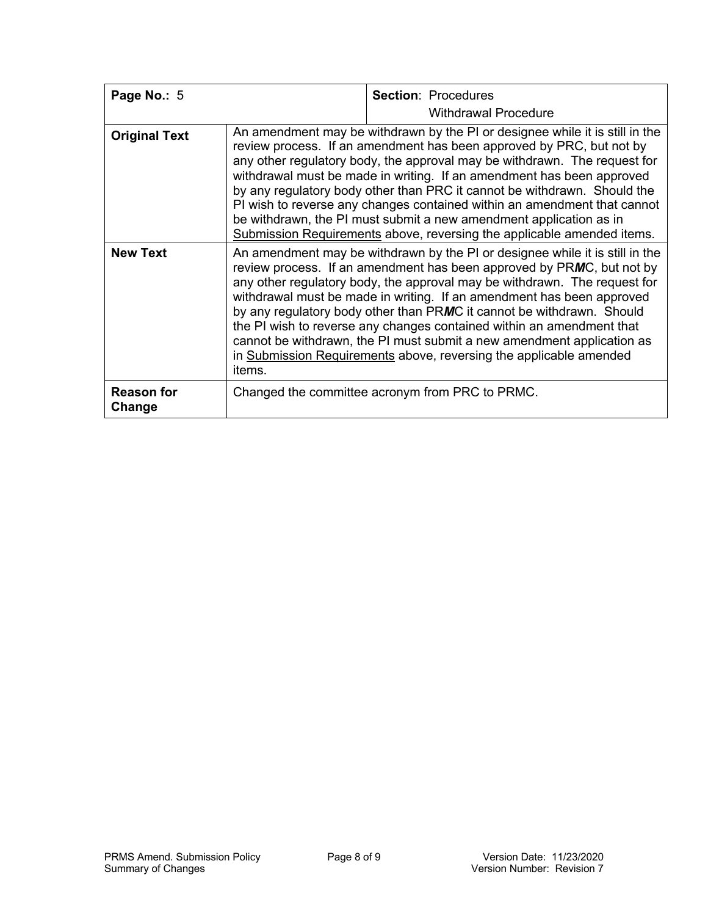| Page No.: 5                 |                                                                                                                                                                                                                                                                                                                                                                                                                                                                                                                                                                                                                         | <b>Section: Procedures</b>                      |
|-----------------------------|-------------------------------------------------------------------------------------------------------------------------------------------------------------------------------------------------------------------------------------------------------------------------------------------------------------------------------------------------------------------------------------------------------------------------------------------------------------------------------------------------------------------------------------------------------------------------------------------------------------------------|-------------------------------------------------|
|                             |                                                                                                                                                                                                                                                                                                                                                                                                                                                                                                                                                                                                                         | <b>Withdrawal Procedure</b>                     |
| <b>Original Text</b>        | An amendment may be withdrawn by the PI or designee while it is still in the<br>review process. If an amendment has been approved by PRC, but not by<br>any other regulatory body, the approval may be withdrawn. The request for<br>withdrawal must be made in writing. If an amendment has been approved<br>by any regulatory body other than PRC it cannot be withdrawn. Should the<br>PI wish to reverse any changes contained within an amendment that cannot<br>be withdrawn, the PI must submit a new amendment application as in<br>Submission Requirements above, reversing the applicable amended items.      |                                                 |
| <b>New Text</b>             | An amendment may be withdrawn by the PI or designee while it is still in the<br>review process. If an amendment has been approved by PRMC, but not by<br>any other regulatory body, the approval may be withdrawn. The request for<br>withdrawal must be made in writing. If an amendment has been approved<br>by any regulatory body other than PRMC it cannot be withdrawn. Should<br>the PI wish to reverse any changes contained within an amendment that<br>cannot be withdrawn, the PI must submit a new amendment application as<br>in Submission Requirements above, reversing the applicable amended<br>items. |                                                 |
| <b>Reason for</b><br>Change |                                                                                                                                                                                                                                                                                                                                                                                                                                                                                                                                                                                                                         | Changed the committee acronym from PRC to PRMC. |